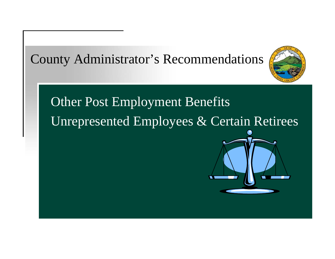County Administrator's Recommendations



# Other Post Employment Benefits Unrepresented Employees & Certain Retirees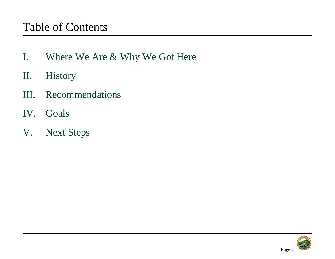### Table of Contents

- I. Where We Are & Why We Got Here
- II. History
- III. Recommendations
- IV. Goals
- V. Next Steps

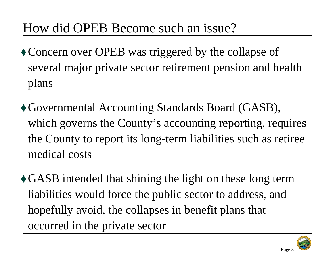# How did OPEB Become such an issue?

- Concern over OPEB was triggered by the collapse of several major private sector retirement pension and health plans
- Governmental Accounting Standards Board (GASB), which governs the County's accounting reporting, requires the County to report its long-term liabilities such as retiree medical costs
- GASB intended that shining the light on these long term liabilities would force the public sector to address, and hopefully avoid, the collapses in benefit plans that occurred in the private sector



**Page 3**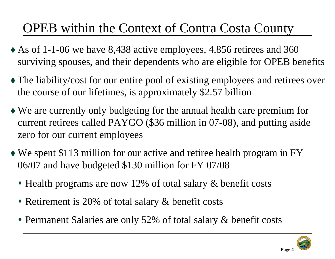# OPEB within the Context of Contra Costa County

- As of 1-1-06 we have 8,438 active employees, 4,856 retirees and 360 surviving spouses, and their dependents who are eligible for OPEB benefits
- The liability/cost for our entire pool of existing employees and retirees over the course of our lifetimes, is approximately \$2.57 billion
- We are currently only budgeting for the annual health care premium for current retirees called PAYGO (\$36 million in 07-08), and putting aside zero for our current employees
- We spent \$113 million for our active and retiree health program in FY 06/07 and have budgeted \$130 million for FY 07/08
	- Health programs are now 12% of total salary & benefit costs
	- Retirement is 20% of total salary & benefit costs
	- Permanent Salaries are only 52% of total salary & benefit costs



**Page 4**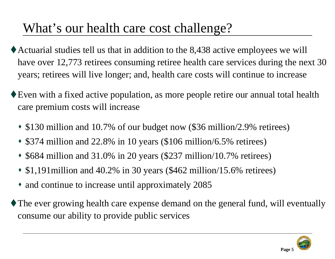# What's our health care cost challenge?

- Actuarial studies tell us that in addition to the 8,438 active employees we will have over 12,773 retirees consuming retiree health care services during the next 30 years; retirees will live longer; and, health care costs will continue to increase
- Even with a fixed active population, as more people retire our annual total health care premium costs will increase
	- \$130 million and 10.7% of our budget now (\$36 million/2.9% retirees)
	- \$374 million and 22.8% in 10 years (\$106 million/6.5% retirees)
	- ♦ \$684 million and 31.0% in 20 years (\$237 million/10.7% retirees)
	- \$1,191million and 40.2% in 30 years (\$462 million/15.6% retirees)
	- and continue to increase until approximately 2085
- The ever growing health care expense demand on the general fund, will eventually consume our ability to provide public services

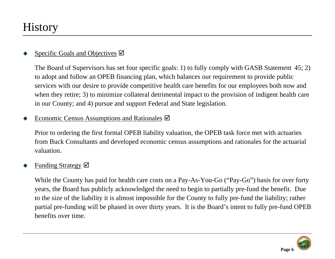### **History**

#### ♦ Specific Goals and Objectives  $\boxtimes$

The Board of Supervisors has set four specific goals: 1) to fully comply with GASB Statement 45; 2) to adopt and follow an OPEB financing plan, which balances our requirement to provide public services with our desire to provide competitive health care benefits for our employees both now and when they retire; 3) to minimize collateral detrimental impact to the provision of indigent health care in our County; and 4) pursue and support Federal and State legislation.

#### ♦ Economic Census Assumptions and Rationales  $\boxtimes$

Prior to ordering the first formal OPEB liability valuation, the OPEB task force met with actuaries from Buck Consultants and developed economic census assumptions and rationales for the actuarial valuation.

#### ♦ Funding Strategy  $\boxtimes$

While the County has paid for health care costs on a Pay-As-You-Go ("Pay-Go") basis for over forty years, the Board has publicly acknowledged the need to begin to partially pre-fund the benefit. Due to the size of the liability it is almost impossible for the County to fully pre-fund the liability; rather partial pre-funding will be phased in over thirty years. It is the Board's intent to fully pre-fund OPEB benefits over time.

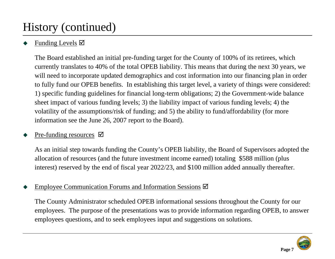# History (continued)

### ♦ Funding Levels  $\boxtimes$

The Board established an initial pre-funding target for the County of 100% of its retirees, which currently translates to 40% of the total OPEB liability. This means that during the next 30 years, we will need to incorporate updated demographics and cost information into our financing plan in order to fully fund our OPEB benefits. In establishing this target level, a variety of things were considered: 1) specific funding guidelines for financial long-term obligations; 2) the Government-wide balance sheet impact of various funding levels; 3) the liability impact of various funding levels; 4) the volatility of the assumptions/risk of funding; and 5) the ability to fund/affordability (for more information see the June 26, 2007 report to the Board).

### ♦ Pre-funding resources  $\boxtimes$

As an initial step towards funding the County's OPEB liability, the Board of Supervisors adopted the allocation of resources (and the future investment income earned) totaling \$588 million (plus interest) reserved by the end of fiscal year 2022/23, and \$100 million added annually thereafter.

#### ♦ Employee Communication Forums and Information Sessions  $\boxtimes$

The County Administrator scheduled OPEB informational sessions throughout the County for our employees. The purpose of the presentations was to provide information regarding OPEB, to answer employees questions, and to seek employees input and suggestions on solutions.

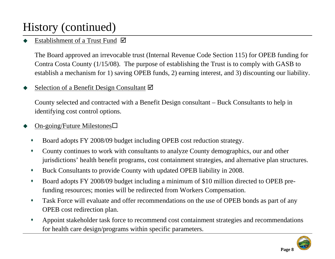# History (continued)

### ♦ Establishment of a Trust Fund  $\boxtimes$

The Board approved an irrevocable trust (Internal Revenue Code Section 115) for OPEB funding for Contra Costa County (1/15/08). The purpose of establishing the Trust is to comply with GASB to establish a mechanism for 1) saving OPEB funds, 2) earning interest, and 3) discounting our liability.

### ♦ Selection of a Benefit Design Consultant  $\boxtimes$

County selected and contracted with a Benefit Design consultant – Buck Consultants to help in identifying cost control options.

#### ♦ On-going/Future Milestones

- $\blacklozenge$ Board adopts FY 2008/09 budget including OPEB cost reduction strategy.
- $\bullet$  County continues to work with consultants to analyze County demographics, our and other jurisdictions' health benefit programs, cost containment strategies, and alternative plan structures.
- $\blacklozenge$ Buck Consultants to provide County with updated OPEB liability in 2008.
- $\blacklozenge$  Board adopts FY 2008/09 budget including a minimum of \$10 million directed to OPEB prefunding resources; monies will be redirected from Workers Compensation.
- $\blacklozenge$  Task Force will evaluate and offer recommendations on the use of OPEB bonds as part of any OPEB cost redirection plan.
- $\blacklozenge$  Appoint stakeholder task force to recommend cost containment strategies and recommendations for health care design/programs within specific parameters.

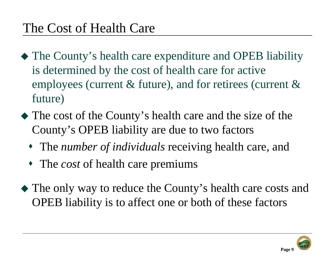- The County's health care expenditure and OPEB liability is determined by the cost of health care for active employees (current & future), and for retirees (current & future)
- The cost of the County's health care and the size of the County's OPEB liability are due to two factors
	- The *number of individuals* receiving health care, and
	- The *cost* of health care premiums
- The only way to reduce the County's health care costs and OPEB liability is to affect one or both of these factors



**Page 9**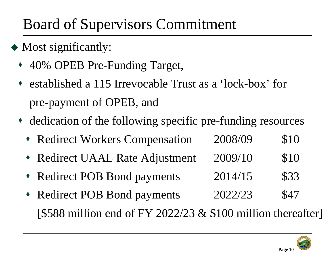# Board of Supervisors Commitment

- Most significantly:
	- ♦ 40% OPEB Pre-Funding Target,
	- ♦ established a 115 Irrevocable Trust as a 'lock-box' for pre-payment of OPEB, and
	- dedication of the following specific pre-funding resources
		- Redirect Workers Compensation 2008/09 \$10
		- ♦ Redirect UAAL Rate Adjustment 2009/10 \$10
		- ♦ Redirect POB Bond payments 2014/15 \$33
		- ♦ Redirect POB Bond payments 2022/23 \$47 [\$588 million end of FY 2022/23  $&$  \$100 million thereafter]

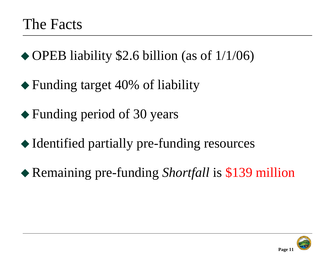◆ OPEB liability \$2.6 billion (as of 1/1/06)

- ◆ Funding target 40% of liability
- Funding period of 30 years
- Identified partially pre-funding resources
- Remaining pre-funding *Shortfall* is \$139 million

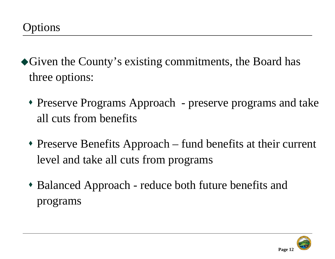- Given the County's existing commitments, the Board has three options:
	- Preserve Programs Approach preserve programs and take all cuts from benefits
	- Preserve Benefits Approach fund benefits at their current level and take all cuts from programs
	- Balanced Approach reduce both future benefits and programs

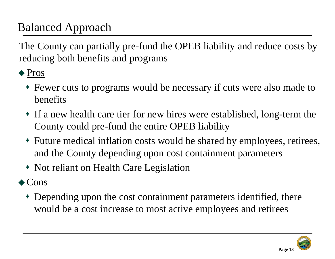# Balanced Approach

The County can partially pre-fund the OPEB liability and reduce costs by reducing both benefits and programs

◆ Pros

- Fewer cuts to programs would be necessary if cuts were also made to benefits
- If a new health care tier for new hires were established, long-term the County could pre-fund the entire OPEB liability
- Future medical inflation costs would be shared by employees, retirees, and the County depending upon cost containment parameters
- Not reliant on Health Care Legislation
- ◆ Cons
	- Depending upon the cost containment parameters identified, there would be a cost increase to most active employees and retirees

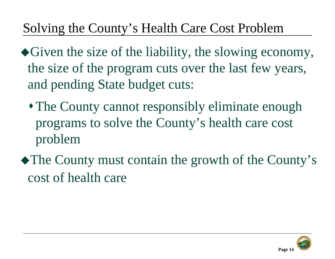# Solving the County's Health Care Cost Problem

- Given the size of the liability, the slowing economy, the size of the program cuts over the last few years, and pending State budget cuts:
	- The County cannot responsibly eliminate enough programs to solve the County's health care cost problem
- The County must contain the growth of the County's cost of health care

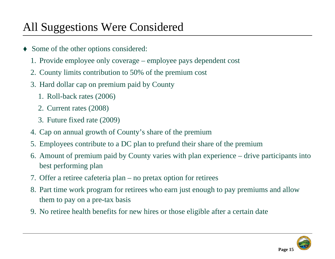# All Suggestions Were Considered

- ♦ Some of the other options considered:
	- 1. Provide employee only coverage employee pays dependent cost
	- 2. County limits contribution to 50% of the premium cost
	- 3. Hard dollar cap on premium paid by County
		- 1. Roll-back rates (2006)
		- 2. Current rates (2008)
		- 3. Future fixed rate (2009)
	- 4. Cap on annual growth of County's share of the premium
	- 5. Employees contribute to a DC plan to prefund their share of the premium
	- 6. Amount of premium paid by County varies with plan experience drive participants into best performing plan
	- 7. Offer a retiree cafeteria plan no pretax option for retirees
	- 8. Part time work program for retirees who earn just enough to pay premiums and allow them to pay on a pre-tax basis
	- 9. No retiree health benefits for new hires or those eligible after a certain date

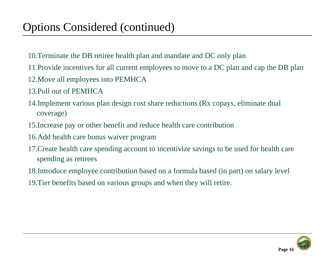- 10.Terminate the DB retiree health plan and mandate and DC only plan
- 11.Provide incentives for all current employees to move to a DC plan and cap the DB plan
- 12.Move all employees into PEMHCA
- 13.Pull out of PEMHCA
- 14.Implement various plan design cost share reductions (Rx copays, eliminate dual coverage)
- 15.Increase pay or other benefit and reduce health care contribution
- 16.Add health care bonus waiver program
- 17.Create health care spending account to incentivize savings to be used for health care spending as retirees
- 18.Introduce employee contribution based on a formula based (in part) on salary level
- 19.Tier benefits based on various groups and when they will retire.

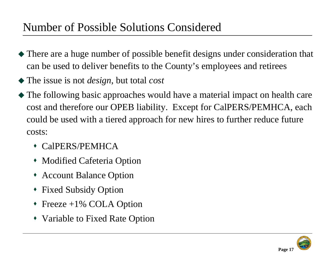### Number of Possible Solutions Considered

- There are a huge number of possible benefit designs under consideration that can be used to deliver benefits to the County's employees and retirees
- The issue is not *design*, but total *cost*
- The following basic approaches would have a material impact on health care cost and therefore our OPEB liability. Except for CalPERS/PEMHCA, each could be used with a tiered approach for new hires to further reduce future costs:
	- CalPERS/PEMHCA
	- Modified Cafeteria Option
	- Account Balance Option
	- Fixed Subsidy Option
	- Freeze +1% COLA Option
	- Variable to Fixed Rate Option

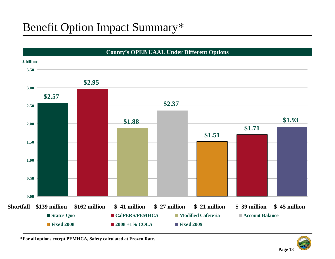## Benefit Option Impact Summary\*



**\*For all options except PEMHCA, Safety calculated at Frozen Rate.** 

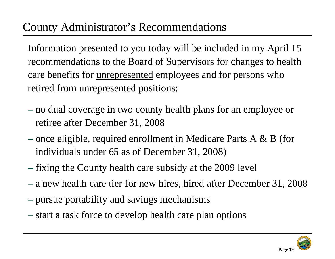## County Administrator's Recommendations

Information presented to you today will be included in my April 15 recommendations to the Board of Supervisors for changes to health care benefits for unrepresented employees and for persons who retired from unrepresented positions:

- no dual coverage in two county health plans for an employee or retiree after December 31, 2008
- once eligible, required enrollment in Medicare Parts A  $\&$  B (for individuals under 65 as of December 31, 2008)
- fixing the County health care subsidy at the 2009 level
- a new health care tier for new hires, hired after December 31, 2008
- pursue portability and savings mechanisms
- start a task force to develop health care plan options

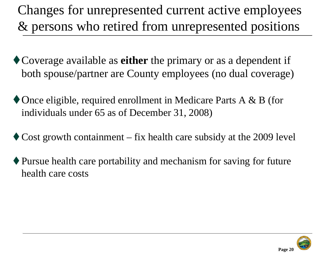Changes for unrepresented current active employees & persons who retired from unrepresented positions

- Coverage available as **either** the primary or as a dependent if both spouse/partner are County employees (no dual coverage)
- Once eligible, required enrollment in Medicare Parts A & B (for individuals under 65 as of December 31, 2008)
- $\triangle$  Cost growth containment fix health care subsidy at the 2009 level
- Pursue health care portability and mechanism for saving for future health care costs

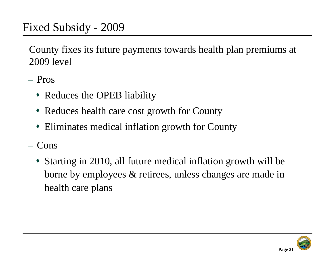County fixes its future payments towards health plan premiums at 2009 level

- Pros
	- Reduces the OPEB liability
	- Reduces health care cost growth for County
	- Eliminates medical inflation growth for County
- Cons
	- Starting in 2010, all future medical inflation growth will be borne by employees & retirees, unless changes are made in health care plans

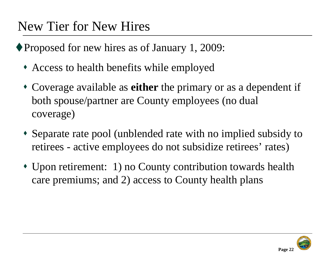# New Tier for New Hires

◆ Proposed for new hires as of January 1, 2009:

- Access to health benefits while employed
- Coverage available as **either** the primary or as a dependent if both spouse/partner are County employees (no dual coverage)
- Separate rate pool (unblended rate with no implied subsidy to retirees - active employees do not subsidize retirees' rates)
- Upon retirement: 1) no County contribution towards health care premiums; and 2) access to County health plans

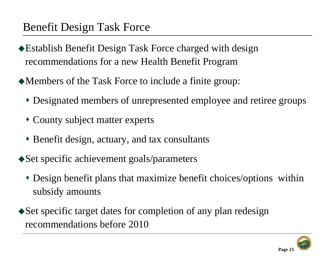## Benefit Design Task Force

- Establish Benefit Design Task Force charged with design recommendations for a new Health Benefit Program
- Members of the Task Force to include a finite group:
	- Designated members of unrepresented employee and retiree groups
	- County subject matter experts
	- Benefit design, actuary, and tax consultants
- ◆ Set specific achievement goals/parameters
	- Design benefit plans that maximize benefit choices/options within subsidy amounts
- Set specific target dates for completion of any plan redesign recommendations before 2010

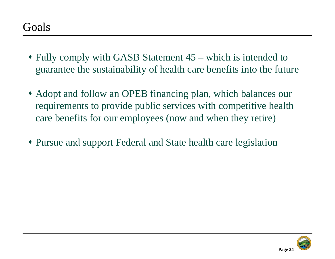- Fully comply with GASB Statement 45 which is intended to guarantee the sustainability of health care benefits into the future
- Adopt and follow an OPEB financing plan, which balances our requirements to provide public services with competitive health care benefits for our employees (now and when they retire)
- Pursue and support Federal and State health care legislation

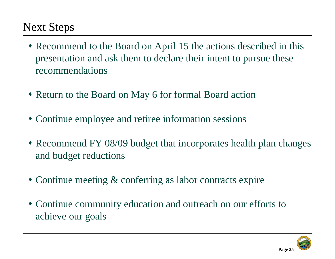# Next Steps

- Recommend to the Board on April 15 the actions described in this presentation and ask them to declare their intent to pursue these recommendations
- Return to the Board on May 6 for formal Board action
- Continue employee and retiree information sessions
- Recommend FY 08/09 budget that incorporates health plan changes and budget reductions
- Continue meeting & conferring as labor contracts expire
- Continue community education and outreach on our efforts to achieve our goals

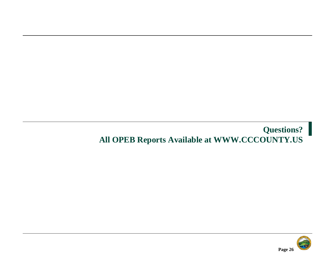### **Questions? All OPEB Reports Available at WWW.CCCOUNTY.US**

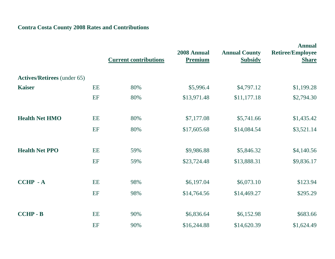### **Contra Costa County 2008 Rates and Contributions**

|                                    |    | <b>Current contributions</b> | 2008 Annual<br><b>Premium</b> | <b>Annual County</b><br><b>Subsidy</b> | <b>Annual</b><br><b>Retiree/Employee</b><br><b>Share</b> |
|------------------------------------|----|------------------------------|-------------------------------|----------------------------------------|----------------------------------------------------------|
| <b>Actives/Retirees</b> (under 65) |    |                              |                               |                                        |                                                          |
| <b>Kaiser</b>                      | EE | 80%                          | \$5,996.4                     | \$4,797.12                             | \$1,199.28                                               |
|                                    | EF | 80%                          | \$13,971.48                   | \$11,177.18                            | \$2,794.30                                               |
| <b>Health Net HMO</b>              | EE | 80%                          | \$7,177.08                    | \$5,741.66                             | \$1,435.42                                               |
|                                    | EF | 80%                          | \$17,605.68                   | \$14,084.54                            | \$3,521.14                                               |
| <b>Health Net PPO</b>              | EE | 59%                          | \$9,986.88                    | \$5,846.32                             | \$4,140.56                                               |
|                                    | EF | 59%                          | \$23,724.48                   | \$13,888.31                            | \$9,836.17                                               |
| <b>CCHP - A</b>                    | EE | 98%                          | \$6,197.04                    | \$6,073.10                             | \$123.94                                                 |
|                                    | EF | 98%                          | \$14,764.56                   | \$14,469.27                            | \$295.29                                                 |
| <b>CCHP - B</b>                    | EE | 90%                          | \$6,836.64                    | \$6,152.98                             | \$683.66                                                 |
|                                    | EF | 90%                          | \$16,244.88                   | \$14,620.39                            | \$1,624.49                                               |